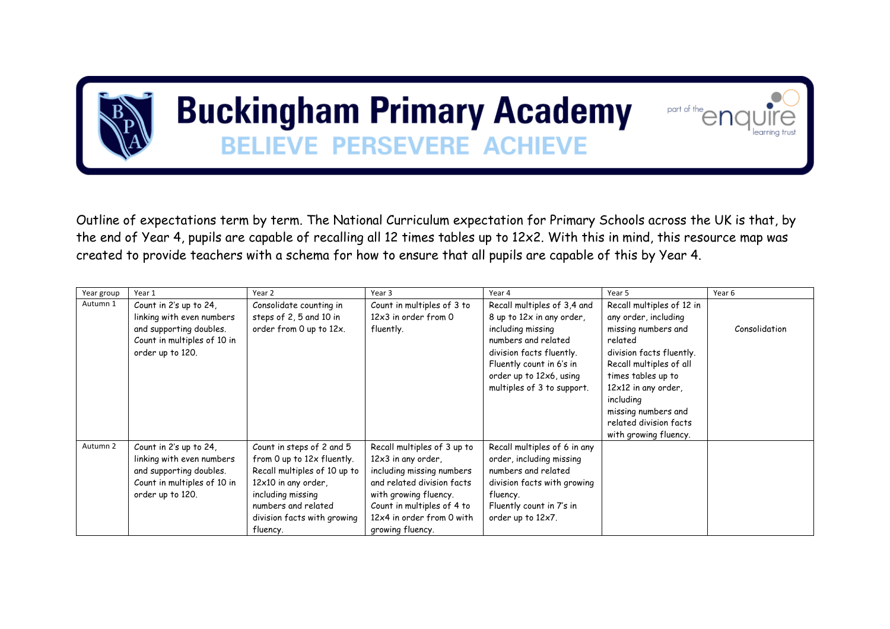## **Buckingham Primary Academy BELIEVE PERSEVERE ACHIEVE**



 $part of the$ 

| Year group | Year 1                                                                                                                            | Year 2                                                                                                                                                                                                | Year 3                                                                                                                                                                                                               | Year 4                                                                                                                                                                                  | Year 5                                                                                                                                                           | Year 6        |
|------------|-----------------------------------------------------------------------------------------------------------------------------------|-------------------------------------------------------------------------------------------------------------------------------------------------------------------------------------------------------|----------------------------------------------------------------------------------------------------------------------------------------------------------------------------------------------------------------------|-----------------------------------------------------------------------------------------------------------------------------------------------------------------------------------------|------------------------------------------------------------------------------------------------------------------------------------------------------------------|---------------|
| Autumn 1   | Count in 2's up to 24,<br>linking with even numbers<br>and supporting doubles.<br>Count in multiples of 10 in<br>order up to 120. | Consolidate counting in<br>steps of 2, 5 and 10 in<br>order from 0 up to 12x.                                                                                                                         | Count in multiples of 3 to<br>12x3 in order from 0<br>fluently.                                                                                                                                                      | Recall multiples of 3,4 and<br>8 up to 12x in any order,<br>including missing<br>numbers and related<br>division facts fluently.<br>Fluently count in 6's in<br>order up to 12x6, using | Recall multiples of 12 in<br>any order, including<br>missing numbers and<br>related<br>division facts fluently.<br>Recall multiples of all<br>times tables up to | Consolidation |
|            |                                                                                                                                   |                                                                                                                                                                                                       |                                                                                                                                                                                                                      | multiples of 3 to support.                                                                                                                                                              | $12\times12$ in any order,<br>including<br>missing numbers and<br>related division facts<br>with growing fluency.                                                |               |
| Autumn 2   | Count in 2's up to 24,<br>linking with even numbers<br>and supporting doubles.<br>Count in multiples of 10 in<br>order up to 120. | Count in steps of 2 and 5<br>from 0 up to 12x fluently.<br>Recall multiples of 10 up to<br>12x10 in any order,<br>including missing<br>numbers and related<br>division facts with growing<br>fluency. | Recall multiples of 3 up to<br>12x3 in any order,<br>including missing numbers<br>and related division facts<br>with growing fluency.<br>Count in multiples of 4 to<br>12x4 in order from 0 with<br>growing fluency. | Recall multiples of 6 in any<br>order, including missing<br>numbers and related<br>division facts with growing<br>fluency.<br>Fluently count in 7's in<br>order up to 12x7.             |                                                                                                                                                                  |               |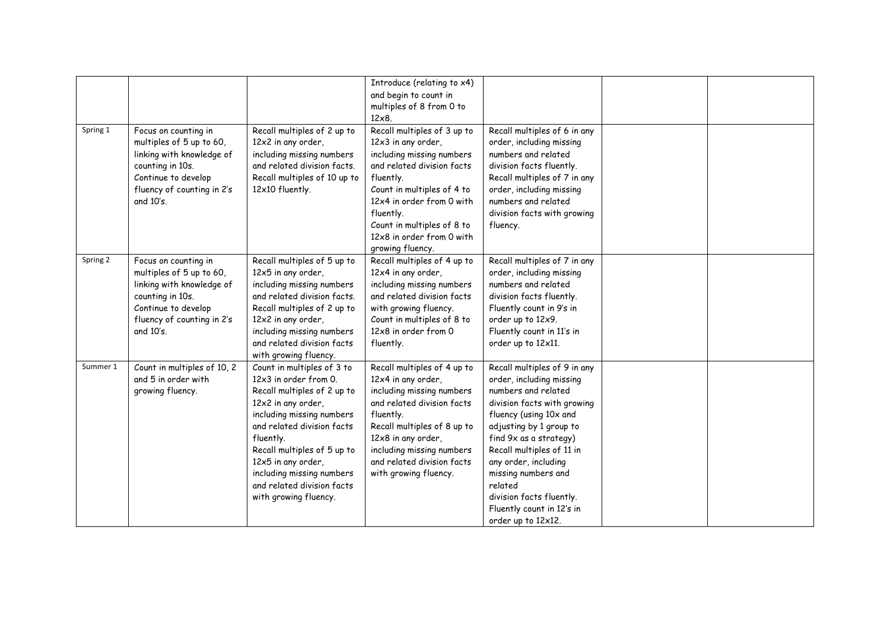|          |                                                                                                                                                                     |                                                                                                                                                                                                                                                                                                                           | Introduce (relating to x4)<br>and begin to count in<br>multiples of 8 from 0 to<br>$12\times8$                                                                                                                                                                                   |                                                                                                                                                                                                                                                                                                                                                                     |  |
|----------|---------------------------------------------------------------------------------------------------------------------------------------------------------------------|---------------------------------------------------------------------------------------------------------------------------------------------------------------------------------------------------------------------------------------------------------------------------------------------------------------------------|----------------------------------------------------------------------------------------------------------------------------------------------------------------------------------------------------------------------------------------------------------------------------------|---------------------------------------------------------------------------------------------------------------------------------------------------------------------------------------------------------------------------------------------------------------------------------------------------------------------------------------------------------------------|--|
| Spring 1 | Focus on counting in<br>multiples of 5 up to 60,<br>linking with knowledge of<br>counting in 10s.<br>Continue to develop<br>fluency of counting in 2's<br>and 10's. | Recall multiples of 2 up to<br>12x2 in any order,<br>including missing numbers<br>and related division facts.<br>Recall multiples of 10 up to<br>12x10 fluently.                                                                                                                                                          | Recall multiples of 3 up to<br>12x3 in any order,<br>including missing numbers<br>and related division facts<br>fluently.<br>Count in multiples of 4 to<br>12x4 in order from 0 with<br>fluently.<br>Count in multiples of 8 to<br>12x8 in order from 0 with<br>growing fluency. | Recall multiples of 6 in any<br>order, including missing<br>numbers and related<br>division facts fluently.<br>Recall multiples of 7 in any<br>order, including missing<br>numbers and related<br>division facts with growing<br>fluency.                                                                                                                           |  |
| Spring 2 | Focus on counting in<br>multiples of 5 up to 60,<br>linking with knowledge of<br>counting in 10s.<br>Continue to develop<br>fluency of counting in 2's<br>and 10's. | Recall multiples of 5 up to<br>12x5 in any order,<br>including missing numbers<br>and related division facts.<br>Recall multiples of 2 up to<br>12x2 in any order,<br>including missing numbers<br>and related division facts<br>with growing fluency.                                                                    | Recall multiples of 4 up to<br>12x4 in any order,<br>including missing numbers<br>and related division facts<br>with growing fluency.<br>Count in multiples of 8 to<br>12x8 in order from 0<br>fluently.                                                                         | Recall multiples of 7 in any<br>order, including missing<br>numbers and related<br>division facts fluently.<br>Fluently count in 9's in<br>order up to 12x9.<br>Fluently count in 11's in<br>order up to 12x11.                                                                                                                                                     |  |
| Summer 1 | Count in multiples of 10, 2<br>and 5 in order with<br>growing fluency.                                                                                              | Count in multiples of 3 to<br>12x3 in order from 0.<br>Recall multiples of 2 up to<br>12x2 in any order,<br>including missing numbers<br>and related division facts<br>fluently.<br>Recall multiples of 5 up to<br>12x5 in any order,<br>including missing numbers<br>and related division facts<br>with growing fluency. | Recall multiples of 4 up to<br>12x4 in any order,<br>including missing numbers<br>and related division facts<br>fluently.<br>Recall multiples of 8 up to<br>12x8 in any order,<br>including missing numbers<br>and related division facts<br>with growing fluency.               | Recall multiples of 9 in any<br>order, including missing<br>numbers and related<br>division facts with growing<br>fluency (using 10x and<br>adjusting by 1 group to<br>find 9x as a strategy)<br>Recall multiples of 11 in<br>any order, including<br>missing numbers and<br>related<br>division facts fluently.<br>Fluently count in 12's in<br>order up to 12x12. |  |